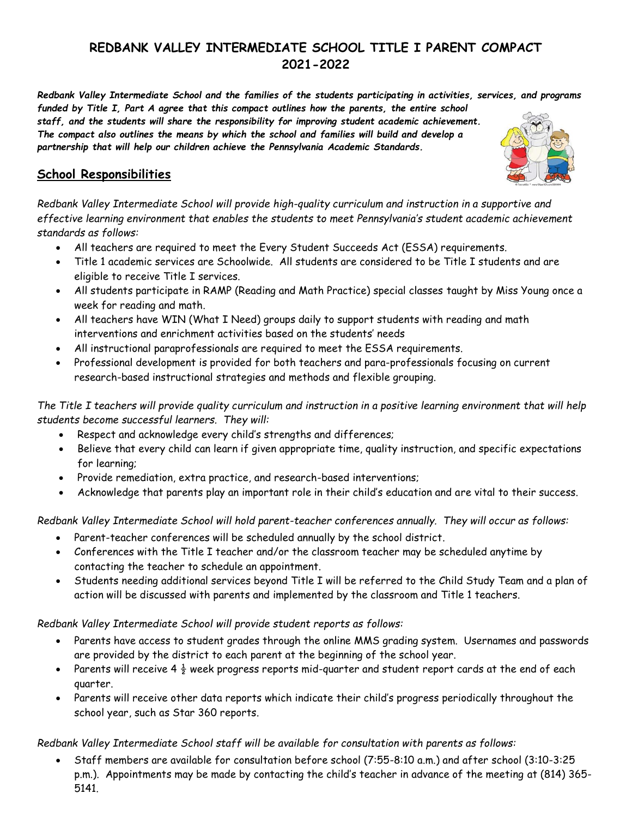# **REDBANK VALLEY INTERMEDIATE SCHOOL TITLE I PARENT COMPACT 2021-2022**

*Redbank Valley Intermediate School and the families of the students participating in activities, services, and programs* 

*funded by Title I, Part A agree that this compact outlines how the parents, the entire school staff, and the students will share the responsibility for improving student academic achievement. The compact also outlines the means by which the school and families will build and develop a partnership that will help our children achieve the Pennsylvania Academic Standards.*

### **School Responsibilities**

*Redbank Valley Intermediate School will provide high-quality curriculum and instruction in a supportive and effective learning environment that enables the students to meet Pennsylvania's student academic achievement standards as follows:*

- All teachers are required to meet the Every Student Succeeds Act (ESSA) requirements.
- Title 1 academic services are Schoolwide. All students are considered to be Title I students and are eligible to receive Title I services.
- All students participate in RAMP (Reading and Math Practice) special classes taught by Miss Young once a week for reading and math.
- All teachers have WIN (What I Need) groups daily to support students with reading and math interventions and enrichment activities based on the students' needs
- All instructional paraprofessionals are required to meet the ESSA requirements.
- Professional development is provided for both teachers and para-professionals focusing on current research-based instructional strategies and methods and flexible grouping.

*The Title I teachers will provide quality curriculum and instruction in a positive learning environment that will help students become successful learners. They will:*

- Respect and acknowledge every child's strengths and differences;
- Believe that every child can learn if given appropriate time, quality instruction, and specific expectations for learning;
- Provide remediation, extra practice, and research-based interventions;
- Acknowledge that parents play an important role in their child's education and are vital to their success.

*Redbank Valley Intermediate School will hold parent-teacher conferences annually. They will occur as follows:*

- Parent-teacher conferences will be scheduled annually by the school district.
- Conferences with the Title I teacher and/or the classroom teacher may be scheduled anytime by contacting the teacher to schedule an appointment.
- Students needing additional services beyond Title I will be referred to the Child Study Team and a plan of action will be discussed with parents and implemented by the classroom and Title 1 teachers.

*Redbank Valley Intermediate School will provide student reports as follows:*

- Parents have access to student grades through the online MMS grading system. Usernames and passwords are provided by the district to each parent at the beginning of the school year.
- Parents will receive 4  $\frac{1}{2}$  week progress reports mid-quarter and student report cards at the end of each quarter.
- Parents will receive other data reports which indicate their child's progress periodically throughout the school year, such as Star 360 reports.

#### *Redbank Valley Intermediate School staff will be available for consultation with parents as follows:*

 Staff members are available for consultation before school (7:55-8:10 a.m.) and after school (3:10-3:25 p.m.). Appointments may be made by contacting the child's teacher in advance of the meeting at (814) 365- 5141.